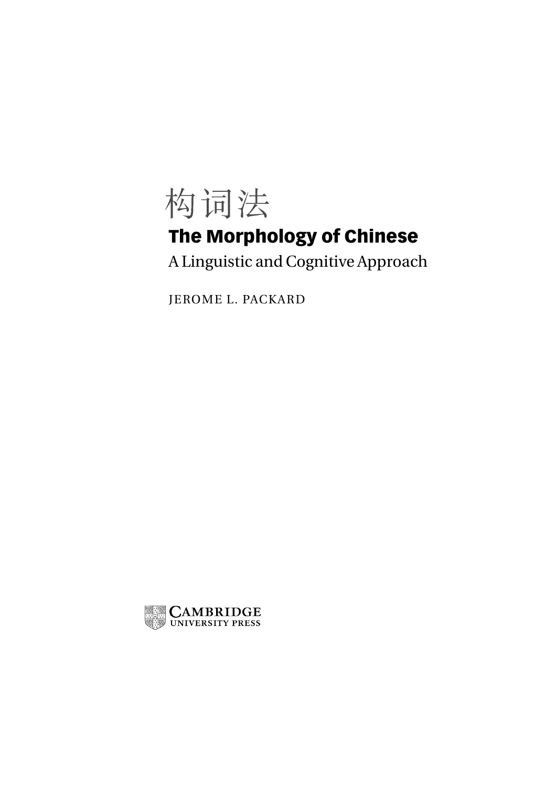

**The Morphology of Chinese** A Linguistic and Cognitive Approach

JEROME L. PACKARD

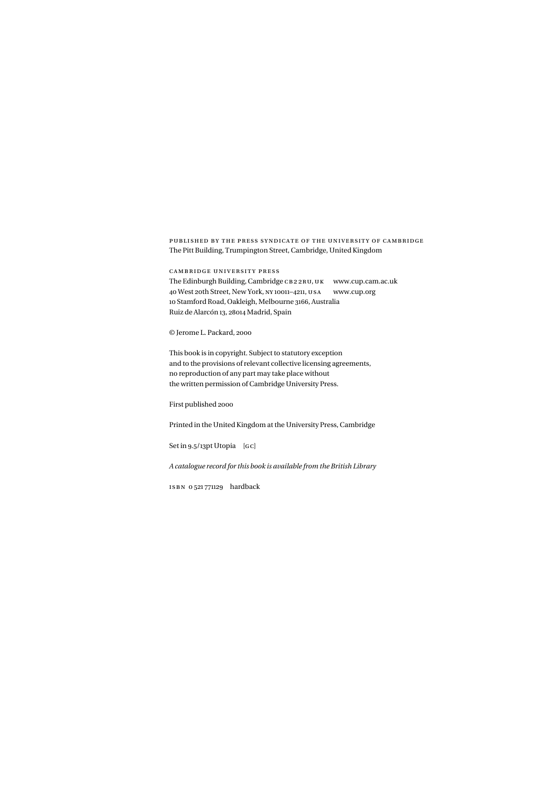PUBLISHED BY THE PRESS SYNDICATE OF THE UNIVERSITY OF CAMBRIDGE The Pitt Building, Trumpington Street, Cambridge, United Kingdom

CAMBRIDGE UNIVERSITY PRESS The Edinburgh Building, Cambridge CB22RU, UK www.cup.cam.ac.uk 40 West 20th Street, New York, NY 10011-4211, USA www.cup.org 10 Stamford Road, Oakleigh, Melbourne 3166, Australia Ruiz de Alarcón 13, 28014 Madrid, Spain

© Jerome L. Packard,

This book is in copyright. Subject to statutory exception and to the provisions of relevant collective licensing agreements, no reproduction of any part may take place without the written permission of Cambridge University Press.

First published

Printed in the United Kingdom at the University Press, Cambridge

Set in 9.5/13pt Utopia [GC]

*A catalogue record for this book is available from the British Library*

ISBN 0521771129 hardback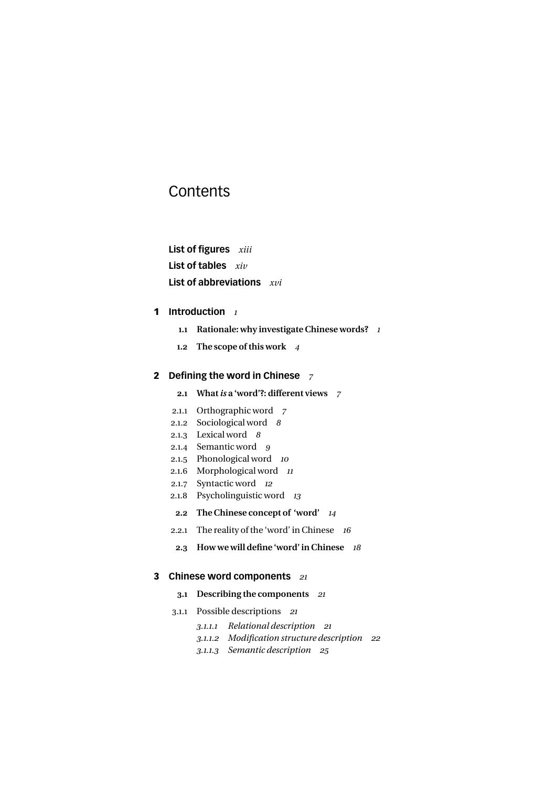### Contents Contents

**List of figures** *xiii* **List of tables** *xiv* **List of abbreviations** *xvi*

#### **1 Introduction**

- **. Rationale: why investigate Chinese words?**
- **. The scope of this work**

#### **2 Defining the word in Chinese**

- **2.1** What *is* a 'word'?: different views 7
- 2.1.1 Orthographic word 7
- 2.1.2 Sociological word 8
- 2.1.3 Lexical word  $8$
- 2.1.4 Semantic word 9
- 2.1.5 Phonological word 10
- 2.1.6 Morphological word 11
- 2.1.7 Syntactic word 12
- 2.1.8 Psycholinguistic word 13

#### **. The Chinese concept of 'word'**

- 2.2.1 The reality of the 'word' in Chinese  $16$
- **. How we will define 'word' in Chinese**

#### **3 Chinese word components**

#### **. Describing the components**

- 3.1.1 Possible descriptions 21
	- *... Relational description*
	- *... Modification structure description*
	- *... Semantic description*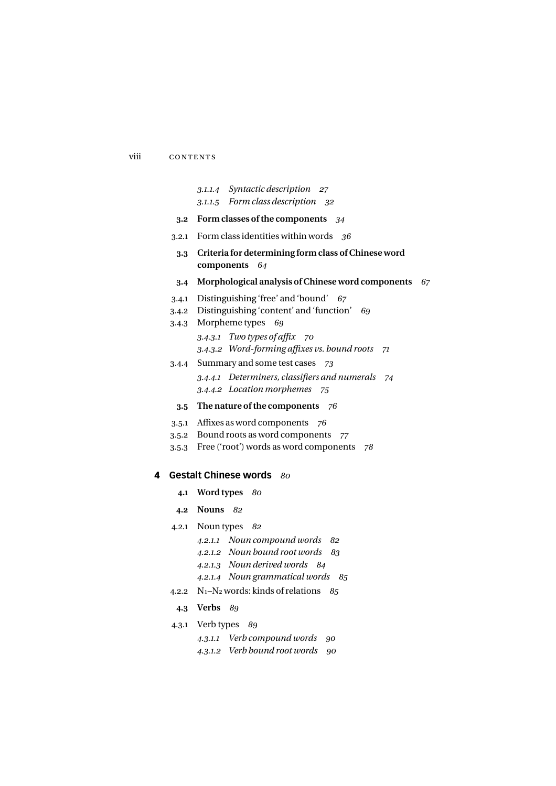*... Syntactic description ... Form class description* **. Form classes of the components** 3.2.1 Form class identities within words  $36$ **. Criteria for determining form class of Chinese word components . Morphological analysis of Chinese word components** 3.4.1 Distinguishing 'free' and 'bound'  $67$ 3.4.2 Distinguishing 'content' and 'function' 69 3.4.3 Morpheme types 69 *... Two types of affix ... Word-forming affixes vs. bound roots* 3.4.4 Summary and some test cases 73 *... Determiners, classifiers and numerals ... Location morphemes* **. The nature of the components** 3.5.1 Affixes as word components 76 3.5.2 Bound roots as word components 77 3.5.3 Free ('root') words as word components  $78$ 

#### **4 Gestalt Chinese words**

**. Word types**

**. Nouns**

- 4.2.1 Noun types  $82$ 
	- *... Noun compound words*
	- *... Noun bound root words*
	- *... Noun derived words*
	- *... Noun grammatical words*
- 4.2.2  $N_1-N_2$  words: kinds of relations  $8.5$ 
	- **. Verbs**
- 4.3.1 Verb types 89
	- *... Verb compound words ... Verb bound root words*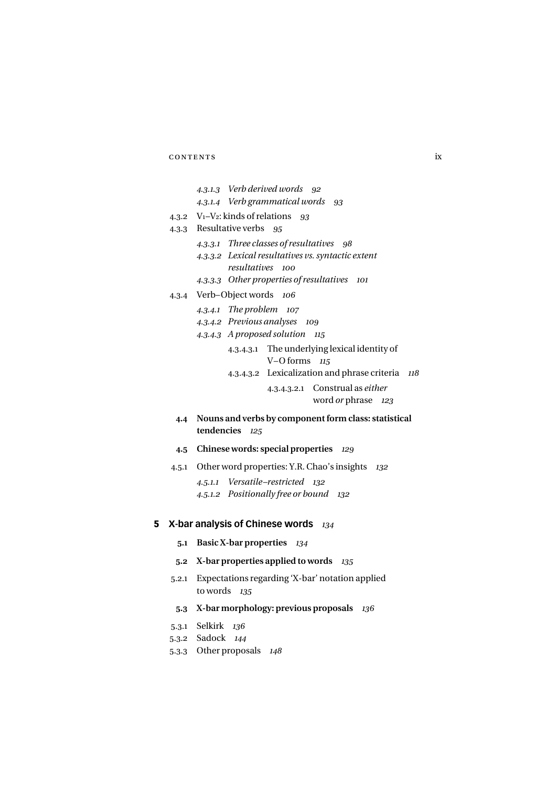- *... Verb derived words*
- *... Verb grammatical words*
- 4.3.2  $V_1-V_2$ : kinds of relations 9.3
- 4.3.3 Resultative verbs 9.5
	- *... Three classes of resultatives*
	- *... Lexical resultatives vs. syntactic extent resultatives*
	- *... Other properties of resultatives*
- 4.3.4 Verb–Object words 106
	- *... The problem*
	- *... Previous analyses*
	- *... A proposed solution*
		- 4.3.4.3.1 The underlying lexical identity of  $V-O$  forms  $115$
		- 4.3.4.3.2 Lexicalization and phrase criteria 118

..... Construal as *either* word *or* phrase

- **. Nouns and verbs by component form class: statistical tendencies**
- **. Chinese words: special properties**
- 4.5.1 Other word properties: Y.R. Chao's insights 132
	- *... Versatile–restricted ... Positionally free or bound*

#### **5 X-bar analysis of Chinese words**

- **. Basic X-bar properties**
- **. X-bar properties applied to words**
- 5.2.1 Expectations regarding 'X-bar' notation applied to words 135
- **. X-bar morphology: previous proposals**
- 5.3.1 Selkirk 136
- 5.3.2 Sadock 144
- 5.3.3 Other proposals  $148$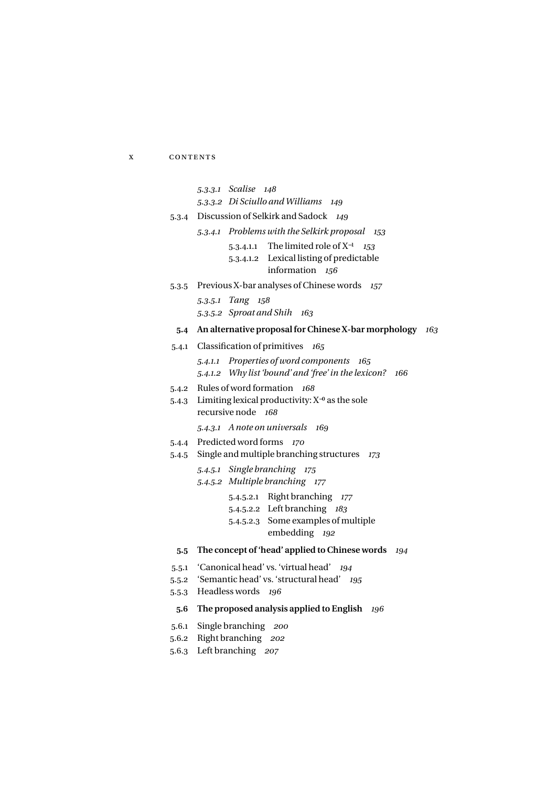*... Scalise ... Di Sciullo and Williams* 5.3.4 Discussion of Selkirk and Sadock 149 *... Problems with the Selkirk proposal* 5.3.4.1.1 The limited role of  $X^{-1}$  153 5.3.4.1.2 Lexical listing of predictable information  $156$ 5.3.5 Previous X-bar analyses of Chinese words  $157$ *... Tang ... Sproat and Shih* **. An alternative proposal for Chinese X-bar morphology** 5.4.1 Classification of primitives  $165$ *... Properties of word components ... Why list 'bound' and 'free' in the lexicon?* 5.4.2 Rules of word formation 168 5.4.3 Limiting lexical productivity: X<sup>-o</sup> as the sole recursive node *... A note on universals* 5.4.4 Predicted word forms 170 5.4.5 Single and multiple branching structures  $173$ *... Single branching ... Multiple branching* 5.4.5.2.1 Right branching 177 5.4.5.2.2 Left branching 183 5.4.5.2.3 Some examples of multiple embedding 192 **. The concept of 'head' applied to Chinese words** 5.5.1 'Canonical head' vs. 'virtual head' 194 5.5.2 'Semantic head' vs. 'structural head' 195

 $5.5.3$  Headless words  $196$ 

#### **. The proposed analysis applied to English**

- 5.6.1 Single branching 200
- 5.6.2 Right branching 202
- 5.6.3 Left branching 207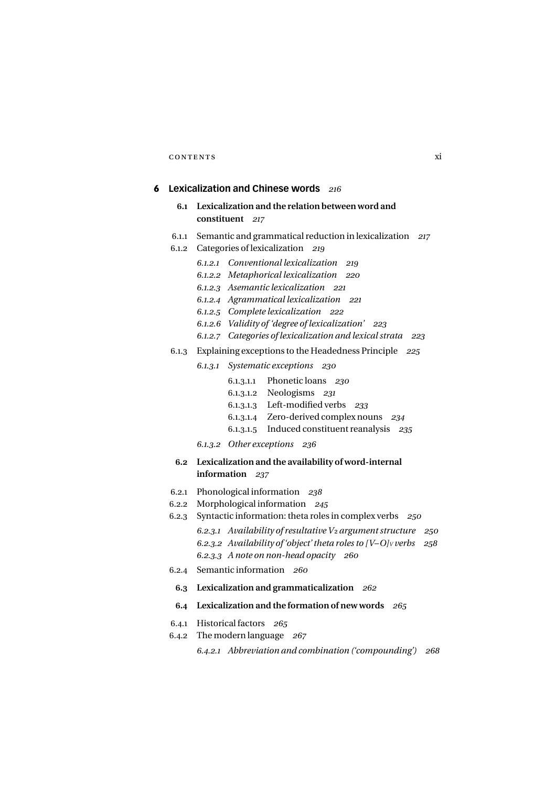#### **6 Lexicalization and Chinese words**

- **. Lexicalization and the relation between word and constituent**
- 6.1.1 Semantic and grammatical reduction in lexicalization  $217$
- 6.1.2 Categories of lexicalization 219
	- *... Conventional lexicalization*
	- *... Metaphorical lexicalization*
	- *... Asemantic lexicalization*
	- *... Agrammatical lexicalization*
	- *... Complete lexicalization*
	- *... Validity of 'degree of lexicalization'*
	- *... Categories of lexicalization and lexical strata*
- 6.1.3 Explaining exceptions to the Headedness Principle 225
	- *... Systematic exceptions*
		- $6.1.3.1.1$  Phonetic loans  $230$
		- 6.1.3.1.2 Neologisms 231
		- $6.1.3.1.3$  Left-modified verbs  $233$
		- 6.1.3.1.4 Zero-derived complex nouns 234
		- $6.1.3.1.5$  Induced constituent reanalysis  $235$
	- *... Other exceptions*
	- **. Lexicalization and the availability of word-internal information**
- 6.2.1 Phonological information  $238$
- 6.2.2 Morphological information  $245$
- 6.2.3 Syntactic information: theta roles in complex verbs  $250$ 
	- *... Availability of resultative V*₂ *argument structure* 6.2.3.2 Availability of 'object' theta roles to  $[V-Q]$  *verbs* 258 *... A note on non-head opacity*
- 6.2.4 Semantic information 260
	- **. Lexicalization and grammaticalization**
	- **. Lexicalization and the formation of new words**
- 6.4.1 Historical factors 265
- 6.4.2 The modern language  $267$ 
	- *... Abbreviation and combination ('compounding')*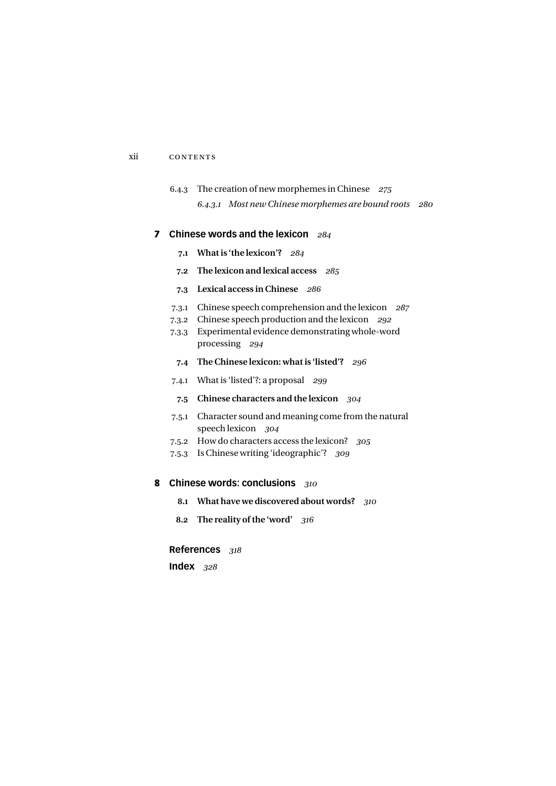| 6.4.3 The creation of new morphemes in Chinese 275 |                                                        |  |
|----------------------------------------------------|--------------------------------------------------------|--|
|                                                    | 6.4.3.1 Most new Chinese morphemes are bound roots 280 |  |

#### **7 Chinese words and the lexicon**

- **. What is 'the lexicon'?**
- **. The lexicon and lexical access**
- **. Lexical access in Chinese**
- 7.3.1 Chinese speech comprehension and the lexicon  $287$
- 7.3.2 Chinese speech production and the lexicon 292
- 7.3.3 Experimental evidence demonstrating whole-word processing 294
	- **. The Chinese lexicon: what is 'listed'?**
- 7.4.1 What is 'listed'?: a proposal 299
	- **. Chinese characters and the lexicon**
- 7.5.1 Character sound and meaning come from the natural speech lexicon 304
- 7.5.2 How do characters access the lexicon? 305
- 7.5.3 Is Chinese writing 'ideographic'? 309

#### **8 Chinese words: conclusions**

- **. What have we discovered about words?**
- **. The reality of the 'word'**

**References**

**Index**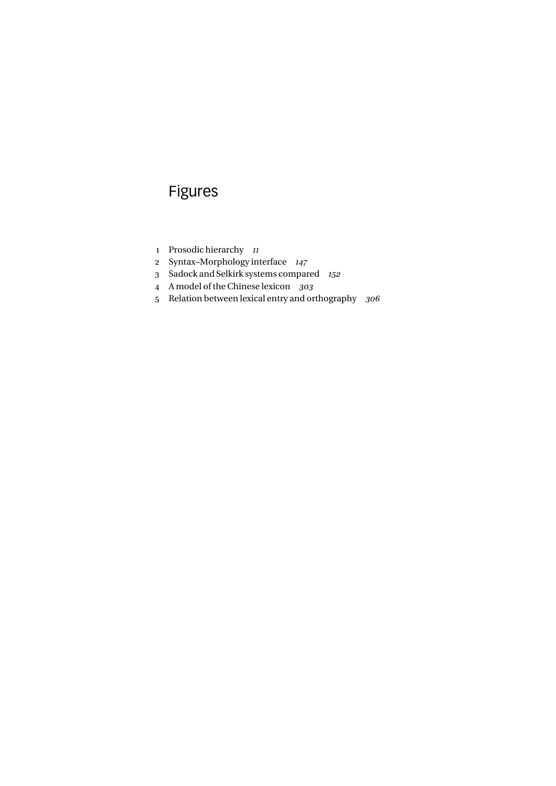# Figures

- 1 Prosodic hierarchy  $11$
- 2 Syntax–Morphology interface 147
- 3 Sadock and Selkirk systems compared  $152$
- A model of the Chinese lexicon
- 5 Relation between lexical entry and orthography 306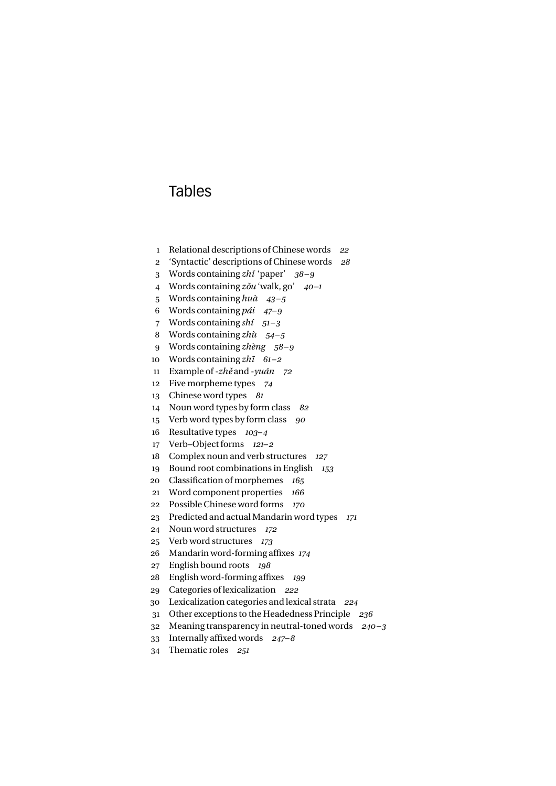## **Tables** Tables

- 1 Relational descriptions of Chinese words 22
- 'Syntactic' descriptions of Chinese words
- 3 Words containing *zh*i 'paper' 38-9
- 4 Words containing  $z\delta u$  'walk, go'  $40-1$
- 5 Words containing *huà* 43-5
- Words containing *pái –*
- 7 Words containing *shí* 51-3
- 8 Words containing *zhù* 54-5
- Words containing *zhèng –*
- 10 Words containing  $z h \bar{i}$  61–2
- 11 Example of -*zhě* and -*vuán* 72
- 12 Five morpheme types 74
- 13 Chinese word types  $81$
- 14 Noun word types by form class  $82$
- 15 Verb word types by form class 90
- 16 Resultative types  $103-4$
- 17 Verb–Object forms 121-2
- 18 Complex noun and verb structures 127
- 19 Bound root combinations in English 153
- 20 Classification of morphemes  $165$
- 21 Word component properties 166
- 22 Possible Chinese word forms 170
- 23 Predicted and actual Mandarin word types 171
- 24 Noun word structures 172
- 25 Verb word structures 173
- 26 Mandarin word-forming affixes  $174$
- 27 English bound roots 198
- 28 English word-forming affixes 199
- 29 Categories of lexicalization 222
- Lexicalization categories and lexical strata
- Other exceptions to the Headedness Principle
- Meaning transparency in neutral-toned words *–*
- 33 Internally affixed words  $247 8$
- 34 Thematic roles 251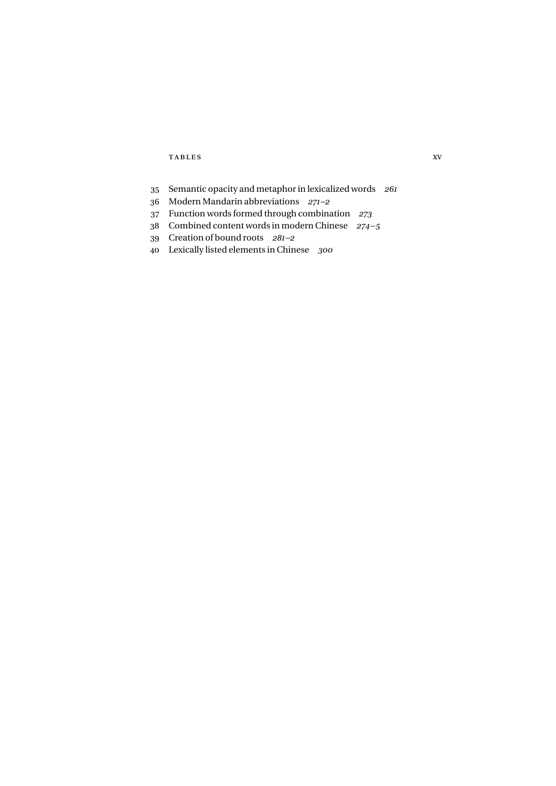- 35 Semantic opacity and metaphor in lexicalized words 261
- 36 Modern Mandarin abbreviations 271-2
- 37 Function words formed through combination 273
- Combined content words in modern Chinese *–*
- 39 Creation of bound roots 281-2
- Lexically listed elements in Chinese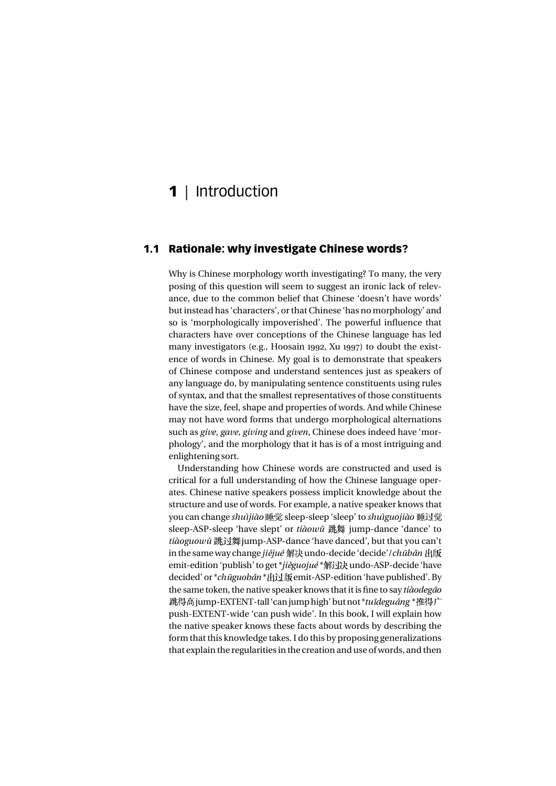# **1** | Introduction

### **1.1 Rationale: why investigate Chinese words?**

Why is Chinese morphology worth investigating? To many, the very posing of this question will seem to suggest an ironic lack of relevance, due to the common belief that Chinese 'doesn't have words' but instead has 'characters', or that Chinese 'has no morphology' and so is 'morphologically impoverished'. The powerful influence that characters have over conceptions of the Chinese language has led many investigators (e.g., Hoosain 1992, Xu 1997) to doubt the existence of words in Chinese. My goal is to demonstrate that speakers of Chinese compose and understand sentences just as speakers of any language do, by manipulating sentence constituents using rules of syntax, and that the smallest representatives of those constituents have the size, feel, shape and properties of words. And while Chinese may not have word forms that undergo morphological alternations such as *give*, *gave*, *giving* and *given*, Chinese does indeed have 'morphology', and the morphology that it has is of a most intriguing and enlightening sort.

Understanding how Chinese words are constructed and used is critical for a full understanding of how the Chinese language operates. Chinese native speakers possess implicit knowledge about the structure and use of words. For example, a native speaker knows that you can change *shuìjiào* 睡觉 sleep-sleep 'sleep' to *shuìguojiào* 睡过觉 sleep-ASP-sleep 'have slept' or *tiàowǔ* 跳舞 jump-dance 'dance' to tiàoguowǔ 跳过舞 jump-ASP-dance 'have danced', but that you can't in the same way change *jiějué* 解决 undo-decide 'decide'/*chūbǎn* 出版 emit-edition 'publish' to get \**jiěguojué* \*解过决 undo-ASP-decide 'have decided' or  $*$ *chūguobǎn*  $*$ 出过版emit-ASP-edition 'have published'. By the same token, the native speaker knows that it is fine to say *tiàodegão* 跳得高jump-EXTENT-tall 'can jump high' but not \**tuīdeguǎng* \*推得广 push-EXTENT-wide 'can push wide'. In this book, I will explain how the native speaker knows these facts about words by describing the form that this knowledge takes. I do this by proposing generalizations that explain the regularities in the creation and use of words, and then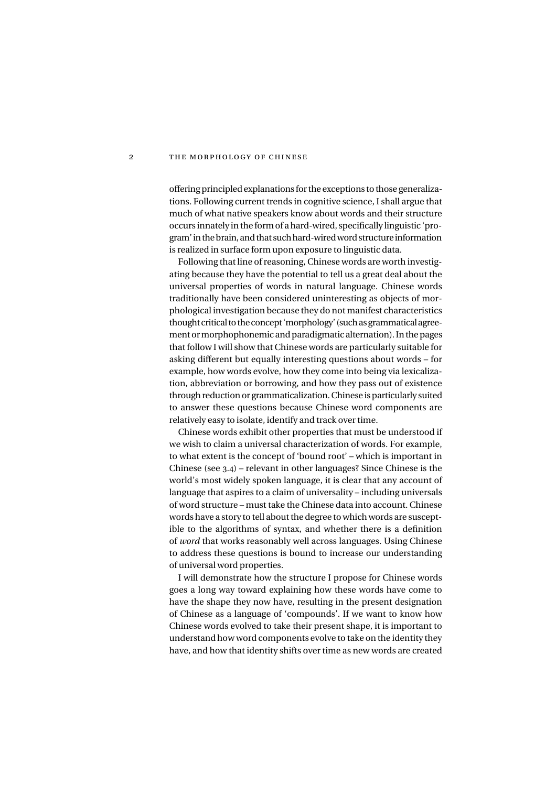offering principled explanations for the exceptions to those generalizations. Following current trends in cognitive science, I shall argue that much of what native speakers know about words and their structure occurs innately in the form of a hard-wired, specifically linguistic 'program' in the brain, and that such hard-wired word structure information is realized in surface form upon exposure to linguistic data.

Following that line of reasoning, Chinese words are worth investigating because they have the potential to tell us a great deal about the universal properties of words in natural language. Chinese words traditionally have been considered uninteresting as objects of morphological investigation because they do not manifest characteristics thought critical to the concept 'morphology' (such as grammatical agreement or morphophonemic and paradigmatic alternation). In the pages that follow I will show that Chinese words are particularly suitable for asking different but equally interesting questions about words – for example, how words evolve, how they come into being via lexicalization, abbreviation or borrowing, and how they pass out of existence through reduction or grammaticalization. Chinese is particularly suited to answer these questions because Chinese word components are relatively easy to isolate, identify and track over time.

Chinese words exhibit other properties that must be understood if we wish to claim a universal characterization of words. For example, to what extent is the concept of 'bound root' – which is important in Chinese (see  $3.4$ ) – relevant in other languages? Since Chinese is the world's most widely spoken language, it is clear that any account of language that aspires to a claim of universality – including universals of word structure – must take the Chinese data into account. Chinese words have a story to tell about the degree to which words are susceptible to the algorithms of syntax, and whether there is a definition of *word* that works reasonably well across languages. Using Chinese to address these questions is bound to increase our understanding of universal word properties.

I will demonstrate how the structure I propose for Chinese words goes a long way toward explaining how these words have come to have the shape they now have, resulting in the present designation of Chinese as a language of 'compounds'. If we want to know how Chinese words evolved to take their present shape, it is important to understand how word components evolve to take on the identity they have, and how that identity shifts over time as new words are created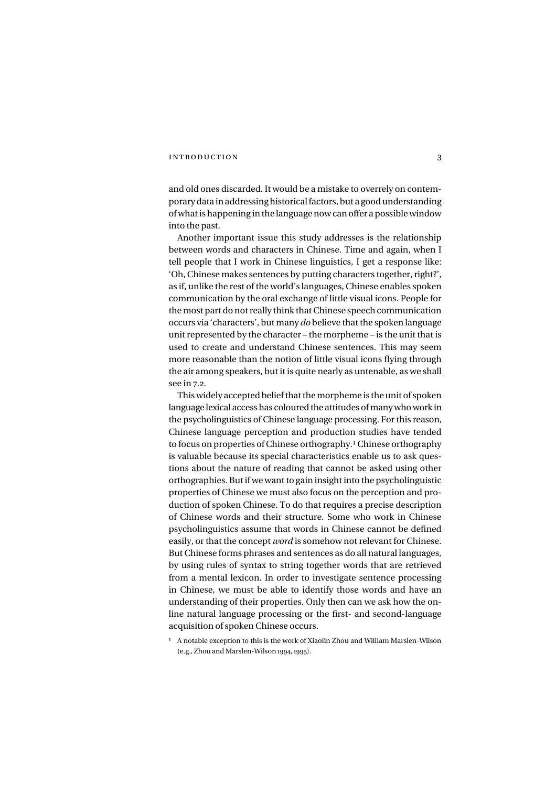and old ones discarded. It would be a mistake to overrely on contemporary data in addressing historical factors, but a good understanding of what is happening in the language now can offer a possible window into the past.

Another important issue this study addresses is the relationship between words and characters in Chinese. Time and again, when I tell people that I work in Chinese linguistics, I get a response like: 'Oh, Chinese makes sentences by putting characters together, right?', as if, unlike the rest of the world's languages, Chinese enables spoken communication by the oral exchange of little visual icons. People for the most part do not really think that Chinese speech communication occurs via 'characters', but many *do* believe that the spoken language unit represented by the character – the morpheme – is the unit that is used to create and understand Chinese sentences. This may seem more reasonable than the notion of little visual icons flying through the air among speakers, but it is quite nearly as untenable, as we shall see in 7.2.

This widely accepted belief that the morpheme is the unit of spoken language lexical access has coloured the attitudes of many who work in the psycholinguistics of Chinese language processing. For this reason, Chinese language perception and production studies have tended to focus on properties of Chinese orthography.<sup>1</sup> Chinese orthography is valuable because its special characteristics enable us to ask questions about the nature of reading that cannot be asked using other orthographies. But if we want to gain insight into the psycholinguistic properties of Chinese we must also focus on the perception and production of spoken Chinese. To do that requires a precise description of Chinese words and their structure. Some who work in Chinese psycholinguistics assume that words in Chinese cannot be defined easily, or that the concept *word* is somehow not relevant for Chinese. But Chinese forms phrases and sentences as do all natural languages, by using rules of syntax to string together words that are retrieved from a mental lexicon. In order to investigate sentence processing in Chinese, we must be able to identify those words and have an understanding of their properties. Only then can we ask how the online natural language processing or the first- and second-language acquisition of spoken Chinese occurs.

 $<sup>1</sup>$  A notable exception to this is the work of Xiaolin Zhou and William Marslen-Wilson</sup>  $(e.g., Zhou and Marslen-Wilson 1994, 1995).$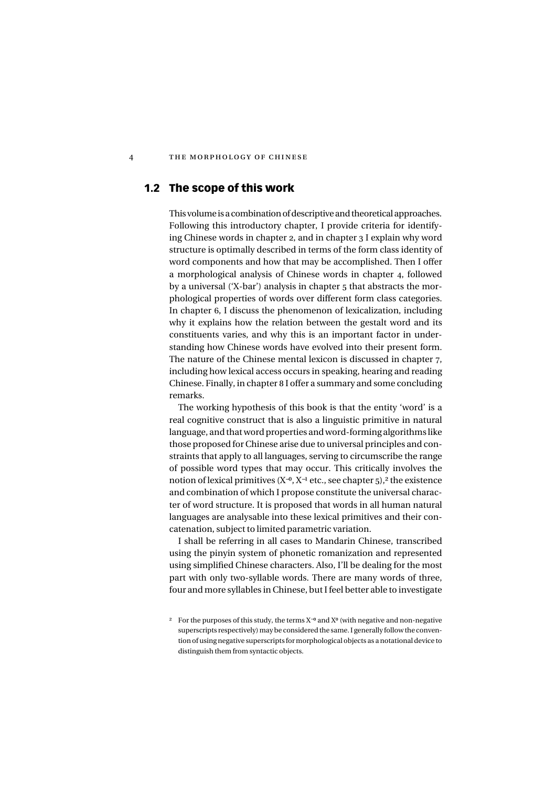#### **1.2 The scope of this work**

This volume is a combination of descriptive and theoretical approaches. Following this introductory chapter, I provide criteria for identifying Chinese words in chapter 2, and in chapter 3 I explain why word structure is optimally described in terms of the form class identity of word components and how that may be accomplished. Then I offer a morphological analysis of Chinese words in chapter 4, followed by a universal ('X-bar') analysis in chapter 5 that abstracts the morphological properties of words over different form class categories. In chapter 6, I discuss the phenomenon of lexicalization, including why it explains how the relation between the gestalt word and its constituents varies, and why this is an important factor in understanding how Chinese words have evolved into their present form. The nature of the Chinese mental lexicon is discussed in chapter 7. including how lexical access occurs in speaking, hearing and reading Chinese. Finally, in chapter 8 I offer a summary and some concluding remarks.

The working hypothesis of this book is that the entity 'word' is a real cognitive construct that is also a linguistic primitive in natural language, and that word properties and word-forming algorithms like those proposed for Chinese arise due to universal principles and constraints that apply to all languages, serving to circumscribe the range of possible word types that may occur. This critically involves the notion of lexical primitives  $(X^{-0}, X^{-1}$  etc., see chapter  $5$ ),<sup>2</sup> the existence and combination of which I propose constitute the universal character of word structure. It is proposed that words in all human natural languages are analysable into these lexical primitives and their concatenation, subject to limited parametric variation.

I shall be referring in all cases to Mandarin Chinese, transcribed using the pinyin system of phonetic romanization and represented using simplified Chinese characters. Also, I'll be dealing for the most part with only two-syllable words. There are many words of three, four and more syllables in Chinese, but I feel better able to investigate

<sup>2</sup> For the purposes of this study, the terms  $X^{-0}$  and  $X^{0}$  (with negative and non-negative superscripts respectively) may be considered the same. I generally follow the convention of using negative superscripts for morphological objects as a notational device to distinguish them from syntactic objects.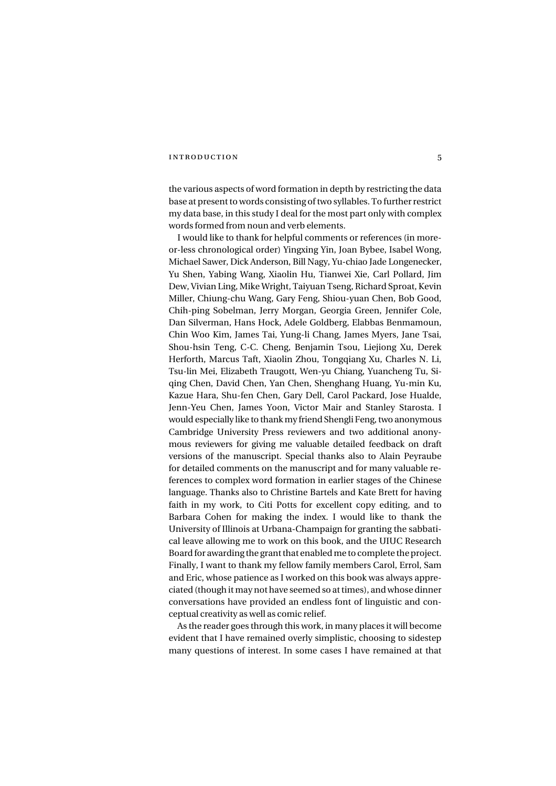the various aspects of word formation in depth by restricting the data base at present to words consisting of two syllables. To further restrict my data base, in this study I deal for the most part only with complex words formed from noun and verb elements.

I would like to thank for helpful comments or references (in moreor-less chronological order) Yingxing Yin, Joan Bybee, Isabel Wong, Michael Sawer, Dick Anderson, Bill Nagy, Yu-chiao Jade Longenecker, Yu Shen, Yabing Wang, Xiaolin Hu, Tianwei Xie, Carl Pollard, Jim Dew, Vivian Ling, Mike Wright, Taiyuan Tseng, Richard Sproat, Kevin Miller, Chiung-chu Wang, Gary Feng, Shiou-yuan Chen, Bob Good, Chih-ping Sobelman, Jerry Morgan, Georgia Green, Jennifer Cole, Dan Silverman, Hans Hock, Adele Goldberg, Elabbas Benmamoun, Chin Woo Kim, James Tai, Yung-li Chang, James Myers, Jane Tsai, Shou-hsin Teng, C-C. Cheng, Benjamin Tsou, Liejiong Xu, Derek Herforth, Marcus Taft, Xiaolin Zhou, Tongqiang Xu, Charles N. Li, Tsu-lin Mei, Elizabeth Traugott, Wen-yu Chiang, Yuancheng Tu, Siqing Chen, David Chen, Yan Chen, Shenghang Huang, Yu-min Ku, Kazue Hara, Shu-fen Chen, Gary Dell, Carol Packard, Jose Hualde, Jenn-Yeu Chen, James Yoon, Victor Mair and Stanley Starosta. I would especially like to thank my friend Shengli Feng, two anonymous Cambridge University Press reviewers and two additional anonymous reviewers for giving me valuable detailed feedback on draft versions of the manuscript. Special thanks also to Alain Peyraube for detailed comments on the manuscript and for many valuable references to complex word formation in earlier stages of the Chinese language. Thanks also to Christine Bartels and Kate Brett for having faith in my work, to Citi Potts for excellent copy editing, and to Barbara Cohen for making the index. I would like to thank the University of Illinois at Urbana-Champaign for granting the sabbatical leave allowing me to work on this book, and the UIUC Research Board for awarding the grant that enabled me to complete the project. Finally, I want to thank my fellow family members Carol, Errol, Sam and Eric, whose patience as I worked on this book was always appreciated (though it may not have seemed so at times), and whose dinner conversations have provided an endless font of linguistic and conceptual creativity as well as comic relief.

As the reader goes through this work, in many places it will become evident that I have remained overly simplistic, choosing to sidestep many questions of interest. In some cases I have remained at that